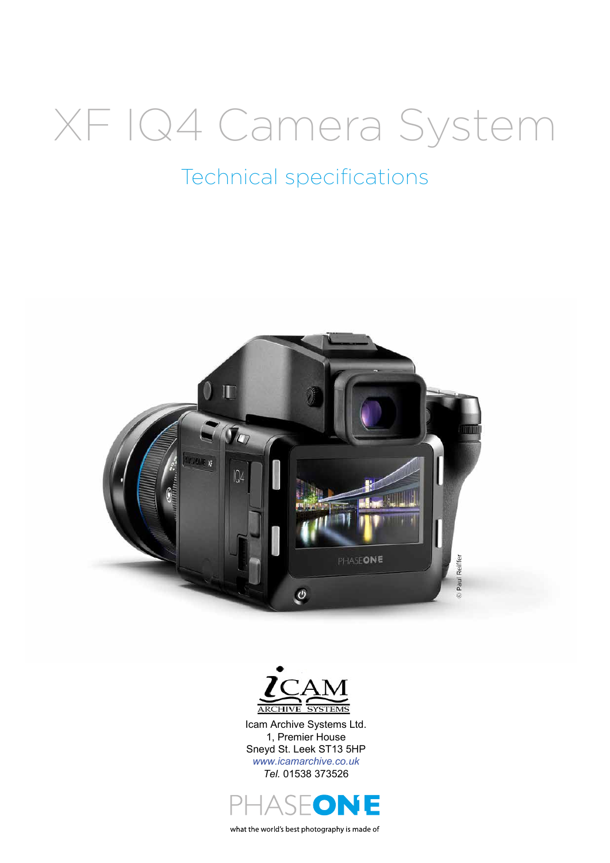# XF IQ4 Camera System

# Technical specifications





Icam Archive Systems Ltd. 1, Premier House Sneyd St. Leek ST13 5HP *www.icamarchive.co.uk Tel.* 01538 373526



what the world's best photography is made of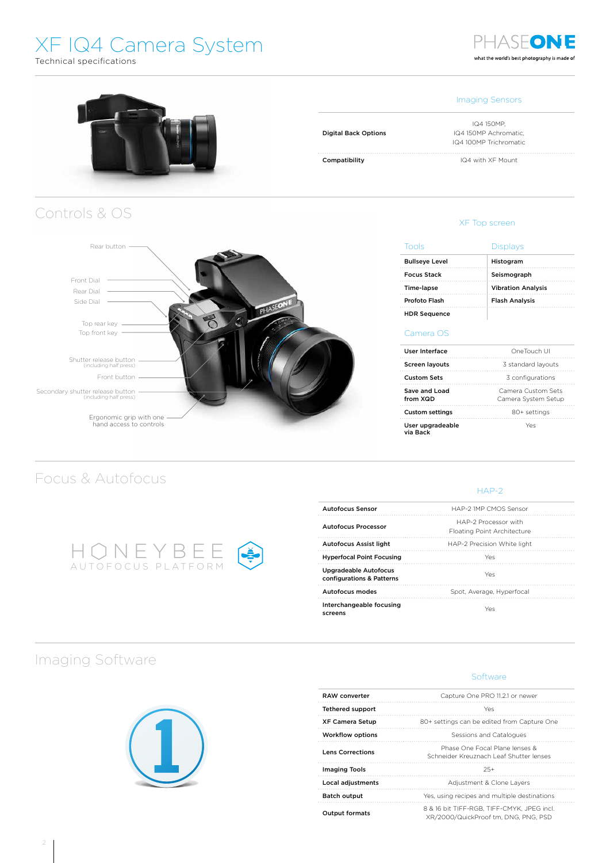# XF IQ4 Camera System

Technical specifications



## PHASEONE what the world's best photography is made of



Digital Back Options

IQ4 150MP, IQ4 150MP Achromatic, IQ4 100MP Trichromatic

Compatibility **IQ4** with XF Mount

XF Top screen

| Tools                 | <b>Displays</b>           |  |  |
|-----------------------|---------------------------|--|--|
| <b>Bullseye Level</b> | Histogram                 |  |  |
| <b>Focus Stack</b>    | Seismograph               |  |  |
| Time-lapse            | <b>Vibration Analysis</b> |  |  |
| Profoto Flash         | <b>Flash Analysis</b>     |  |  |
| <b>HDR Sequence</b>   |                           |  |  |

#### Camera OS

| User Interface               | OneTouch UI                               |  |  |  |
|------------------------------|-------------------------------------------|--|--|--|
| <b>Screen layouts</b>        | 3 standard layouts                        |  |  |  |
| Custom Sets                  | 3 configurations                          |  |  |  |
| Save and Load<br>from XQD    | Camera Custom Sets<br>Camera System Setup |  |  |  |
| <b>Custom settings</b>       | 80+ settings                              |  |  |  |
| User upgradeable<br>via Back | Yes                                       |  |  |  |

#### HAP-2

**Software** 

| <b>Autofocus Sensor</b>                                   | HAP-2 IMP CMOS Sensor                               |  |  |  |
|-----------------------------------------------------------|-----------------------------------------------------|--|--|--|
| <b>Autofocus Processor</b>                                | HAP-2 Processor with<br>Floating Point Architecture |  |  |  |
| <b>Autofocus Assist light</b>                             | HAP-2 Precision White light                         |  |  |  |
| <b>Hyperfocal Point Focusing</b>                          | Yes                                                 |  |  |  |
| <b>Upgradeable Autofocus</b><br>configurations & Patterns | Yes                                                 |  |  |  |
| Autofocus modes                                           | Spot, Average, Hyperfocal                           |  |  |  |
| Interchangeable focusing<br>screens                       | Yes                                                 |  |  |  |

## Imaging Software

Secondary shutter release button (including half press)

Front button Shutter release button (including half press)

> Ergonomic grip with one hand access to controls

HONEYBEE AUTOFOCUS PLATFORM

Top front key Top rear key

Focus & Autofocus

Rear button

Front Dial

Controls & OS

Side Dial Rear Dial



| <b>RAW</b> converter    | Capture One PRO 11.2.1 or newer                                                    |  |  |  |
|-------------------------|------------------------------------------------------------------------------------|--|--|--|
| <b>Tethered support</b> | Yes                                                                                |  |  |  |
| <b>XF Camera Setup</b>  | 80+ settings can be edited from Capture One                                        |  |  |  |
| <b>Workflow options</b> | Sessions and Catalogues                                                            |  |  |  |
| <b>Lens Corrections</b> | Phase One Focal Plane lenses &<br>Schneider Kreuznach Leaf Shutter lenses          |  |  |  |
| Imaging Tools           | $25+$                                                                              |  |  |  |
| Local adjustments       | Adjustment & Clone Layers                                                          |  |  |  |
| <b>Batch output</b>     | Yes, using recipes and multiple destinations                                       |  |  |  |
| <b>Output formats</b>   | 8 & 16 bit TIFF-RGB, TIFF-CMYK, JPEG incl.<br>XR/2000/QuickProof tm. DNG. PNG. PSD |  |  |  |
|                         |                                                                                    |  |  |  |